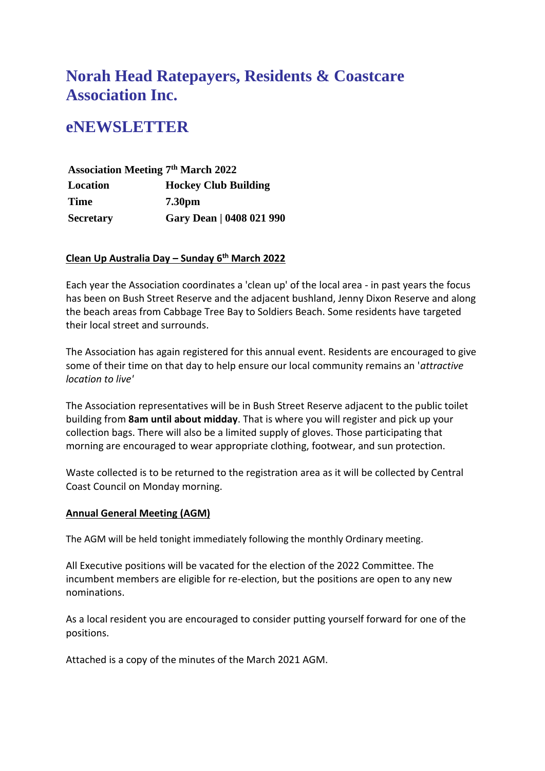# **Norah Head Ratepayers, Residents & Coastcare Association Inc.**

# **eNEWSLETTER**

**Association Meeting 7 th March 2022 Location Hockey Club Building Time 7.30pm Secretary Gary Dean | 0408 021 990**

### **Clean Up Australia Day – Sunday 6th March 2022**

Each year the Association coordinates a 'clean up' of the local area - in past years the focus has been on Bush Street Reserve and the adjacent bushland, Jenny Dixon Reserve and along the beach areas from Cabbage Tree Bay to Soldiers Beach. Some residents have targeted their local street and surrounds.

The Association has again registered for this annual event. Residents are encouraged to give some of their time on that day to help ensure our local community remains an '*attractive location to live'*

The Association representatives will be in Bush Street Reserve adjacent to the public toilet building from **8am until about midday**. That is where you will register and pick up your collection bags. There will also be a limited supply of gloves. Those participating that morning are encouraged to wear appropriate clothing, footwear, and sun protection.

Waste collected is to be returned to the registration area as it will be collected by Central Coast Council on Monday morning.

#### **Annual General Meeting (AGM)**

The AGM will be held tonight immediately following the monthly Ordinary meeting.

All Executive positions will be vacated for the election of the 2022 Committee. The incumbent members are eligible for re-election, but the positions are open to any new nominations.

As a local resident you are encouraged to consider putting yourself forward for one of the positions.

Attached is a copy of the minutes of the March 2021 AGM.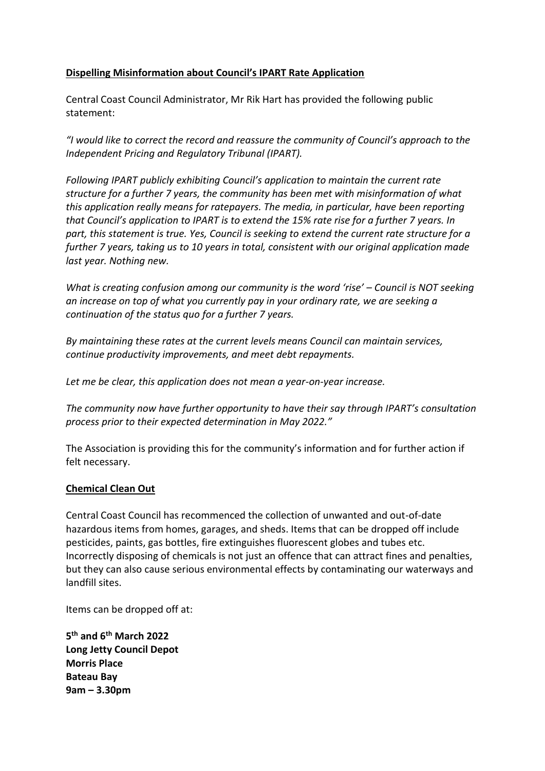### **Dispelling Misinformation about Council's IPART Rate Application**

Central Coast Council Administrator, Mr Rik Hart has provided the following public statement:

*"I would like to correct the record and reassure the community of Council's approach to the Independent Pricing and Regulatory Tribunal (IPART).*

*Following IPART publicly exhibiting Council's application to maintain the current rate structure for a further 7 years, the community has been met with misinformation of what this application really means for ratepayers. The media, in particular, have been reporting that Council's application to IPART is to extend the 15% rate rise for a further 7 years. In part, this statement is true. Yes, Council is seeking to extend the current rate structure for a further 7 years, taking us to 10 years in total, consistent with our original application made last year. Nothing new.*

*What is creating confusion among our community is the word 'rise' – Council is NOT seeking an increase on top of what you currently pay in your ordinary rate, we are seeking a continuation of the status quo for a further 7 years.*

*By maintaining these rates at the current levels means Council can maintain services, continue productivity improvements, and meet debt repayments.*

*Let me be clear, this application does not mean a year-on-year increase.*

*The community now have further opportunity to have their say through IPART's consultation process prior to their expected determination in May 2022."*

The Association is providing this for the community's information and for further action if felt necessary.

#### **Chemical Clean Out**

Central Coast Council has recommenced the collection of unwanted and out-of-date hazardous items from homes, garages, and sheds. Items that can be dropped off include pesticides, paints, gas bottles, fire extinguishes fluorescent globes and tubes etc. Incorrectly disposing of chemicals is not just an offence that can attract fines and penalties, but they can also cause serious environmental effects by contaminating our waterways and landfill sites.

Items can be dropped off at:

**5 th and 6th March 2022 Long Jetty Council Depot Morris Place Bateau Bay 9am – 3.30pm**